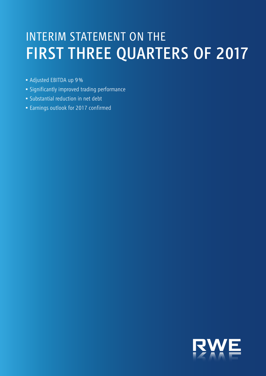# INTERIM STATEMENT ON THE FIRST THREE QUARTERS OF 2017

- Adjusted EBITDA up 9%
- Significantly improved trading performance
- Substantial reduction in net debt
- Earnings outlook for 2017 confirmed

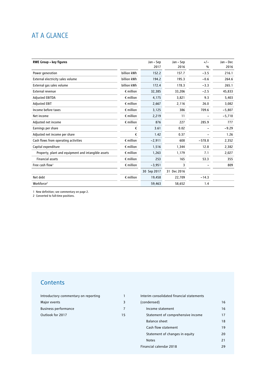## AT A GLANCE

| <b>RWE Group - key figures</b>                      |                    | Jan – Sep   | Jan - Sep   | $+/-$    | Jan - Dec |
|-----------------------------------------------------|--------------------|-------------|-------------|----------|-----------|
|                                                     |                    | 2017        | 2016        | %        | 2016      |
| Power generation                                    | billion kWh        | 152.2       | 157.7       | $-3.5$   | 216.1     |
| External electricity sales volume                   | billion kWh        | 194.2       | 195.3       | $-0.6$   | 264.6     |
| External gas sales volume                           | billion kWh        | 172.4       | 178.3       | $-3.3$   | 265.1     |
| External revenue                                    | $\epsilon$ million | 32,385      | 33,206      | $-2.5$   | 45,833    |
| <b>Adjusted EBITDA</b>                              | $\epsilon$ million | 4,175       | 3,821       | 9.3      | 5,403     |
| <b>Adjusted EBIT</b>                                | $\epsilon$ million | 2,667       | 2,116       | 26.0     | 3,082     |
| Income before taxes                                 | $\epsilon$ million | 3,125       | 386         | 709.6    | $-5,807$  |
| Net income                                          | $\epsilon$ million | 2,219       | 11          |          | $-5,710$  |
| Adjusted net income                                 | $\epsilon$ million | 876         | 227         | 285.9    | 777       |
| Earnings per share                                  | €                  | 3.61        | 0.02        |          | $-9.29$   |
| Adjusted net income per share                       | €                  | 1.42        | 0.37        |          | 1.26      |
| Cash flows from operating activities                | $\epsilon$ million | $-2,911$    | 608         | $-578.8$ | 2,352     |
| Capital expenditure                                 | $\epsilon$ million | 1,516       | 1,344       | 12.8     | 2,382     |
| Property, plant and equipment and intangible assets | $\epsilon$ million | 1.263       | 1,179       | 7.1      | 2,027     |
| <b>Financial assets</b>                             | $\epsilon$ million | 253         | 165         | 53.3     | 355       |
| Free cash flow <sup>1</sup>                         | $\epsilon$ million | $-3,951$    | 3           |          | 809       |
|                                                     |                    | 30 Sep 2017 | 31 Dec 2016 |          |           |
| Net debt                                            | $\epsilon$ million | 19,458      | 22,709      | $-14.3$  |           |
| Workforce <sup>2</sup>                              |                    | 59,463      | 58,652      | 1.4      |           |

1 New definition; see commentary on page 2.

2 Converted to full-time positions.

## **Contents**

| Introductory commentary on reporting |     |
|--------------------------------------|-----|
| Major events                         |     |
| <b>Business performance</b>          |     |
| Outlook for 2017                     | 15. |

| Interim consolidated financial statements |    |
|-------------------------------------------|----|
| (condensed)                               | 16 |
| Income statement                          | 16 |
| Statement of comprehensive income         | 17 |
| <b>Balance sheet</b>                      | 18 |
| Cash flow statement                       | 19 |
| Statement of changes in equity            | 20 |
| <b>Notes</b>                              | 21 |
| Financial calendar 2018                   | 29 |
|                                           |    |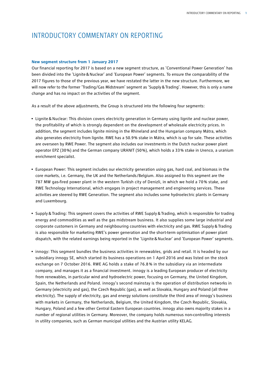## INTRODUCTORY COMMENTARY ON REPORTING

### **New segment structure from 1 January 2017**

Our financial reporting for 2017 is based on a new segment structure, as 'Conventional Power Generation' has been divided into the 'Lignite&Nuclear' and 'European Power' segments. To ensure the comparability of the 2017 figures to those of the previous year, we have restated the latter in the new structure. Furthermore, we will now refer to the former 'Trading/Gas Midstream' segment as 'Supply&Trading'. However, this is only a name change and has no impact on the activities of the segment.

As a result of the above adjustments, the Group is structured into the following four segments:

- Lignite & Nuclear: This division covers electricity generation in Germany using lignite and nuclear power, the profitability of which is strongly dependent on the development of wholesale electricity prices. In addition, the segment includes lignite mining in the Rhineland and the Hungarian company Mátra, which also generates electricity from lignite. RWE has a 50.9 % stake in Mátra, which is up for sale. These activities are overseen by RWE Power. The segment also includes our investments in the Dutch nuclear power plant operator EPZ (30 %) and the German company URANIT (50 %), which holds a 33 % stake in Urenco, a uranium enrichment specialist.
- European Power: This segment includes our electricity generation using gas, hard coal, and biomass in the core markets, i.e. Germany, the UK and the Netherlands/Belgium. Also assigned to this segment are the 787 MW gas-fired power plant in the western Turkish city of Denizli, in which we hold a 70 % stake, and RWE Technology International, which engages in project management and engineering services. These activities are steered by RWE Generation. The segment also includes some hydroelectric plants in Germany and Luxembourg.
- Supply&Trading: This segment covers the activities of RWE Supply&Trading, which is responsible for trading energy and commodities as well as the gas midstream business. It also supplies some large industrial and corporate customers in Germany and neighbouring countries with electricity and gas. RWE Supply&Trading is also responsible for marketing RWE's power generation and the short-term optimisation of power plant dispatch, with the related earnings being reported in the 'Lignite&Nuclear' and 'European Power' segments.
- innogy: This segment bundles the business activities in renewables, grids and retail. It is headed by our subsidiary innogy SE, which started its business operations on 1 April 2016 and was listed on the stock exchange on 7 October 2016. RWE AG holds a stake of 76.8 % in the subsidiary via an intermediate company, and manages it as a financial investment. innogy is a leading European producer of electricity from renewables, in particular wind and hydroelectric power, focusing on Germany, the United Kingdom, Spain, the Netherlands and Poland. innogy's second mainstay is the operation of distribution networks in Germany (electricity and gas), the Czech Republic (gas), as well as Slovakia, Hungary and Poland (all three electricity). The supply of electricity, gas and energy solutions constitute the third area of innogy's business with markets in Germany, the Netherlands, Belgium, the United Kingdom, the Czech Republic, Slovakia, Hungary, Poland and a few other Central Eastern European countries. innogy also owns majority stakes in a number of regional utilities in Germany. Moreover, the company holds numerous non-controlling interests in utility companies, such as German municipal utilities and the Austrian utility KELAG.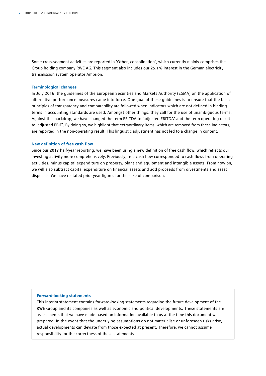Some cross-segment activities are reported in 'Other, consolidation', which currently mainly comprises the Group holding company RWE AG. This segment also includes our 25.1 % interest in the German electricity transmission system operator Amprion.

#### **Terminological changes**

In July 2016, the guidelines of the European Securities and Markets Authority (ESMA) on the application of alternative performance measures came into force. One goal of these guidelines is to ensure that the basic principles of transparency and comparability are followed when indicators which are not defined in binding terms in accounting standards are used. Amongst other things, they call for the use of unambiguous terms. Against this backdrop, we have changed the term EBITDA to 'adjusted EBITDA' and the term operating result to 'adjusted EBIT'. By doing so, we highlight that extraordinary items, which are removed from these indicators, are reported in the non-operating result. This linguistic adjustment has not led to a change in content.

### **New definition of free cash flow**

Since our 2017 half-year reporting, we have been using a new definition of free cash flow, which reflects our investing activity more comprehensively. Previously, free cash flow corresponded to cash flows from operating activities, minus capital expenditure on property, plant and equipment and intangible assets. From now on, we will also subtract capital expenditure on financial assets and add proceeds from divestments and asset disposals. We have restated prior-year figures for the sake of comparison.

### **Forward-looking statements**

This interim statement contains forward-looking statements regarding the future development of the RWE Group and its companies as well as economic and political developments. These statements are assessments that we have made based on information available to us at the time this document was prepared. In the event that the underlying assumptions do not materialise or unforeseen risks arise, actual developments can deviate from those expected at present. Therefore, we cannot assume responsibility for the correctness of these statements.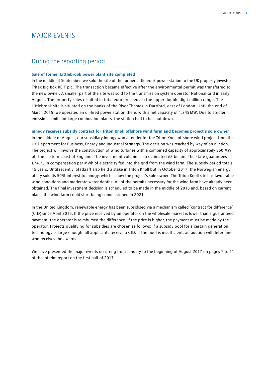## MAJOR EVENTS

## During the reporting period

### **Sale of former Littlebrook power plant site completed**

In the middle of September, we sold the site of the former Littlebrook power station to the UK property investor Tritax Big Box REIT plc. The transaction became effective after the environmental permit was transferred to the new owner. A smaller part of the site was sold to the transmission system operator National Grid in early August. The property sales resulted in total euro proceeds in the upper double-digit million range. The Littlebrook site is situated on the banks of the River Thames in Dartford, east of London. Until the end of March 2015, we operated an oil-fired power station there, with a net capacity of 1,245MW. Due to stricter emissions limits for large combustion plants, the station had to be shut down.

**innogy receives subsidy contract for Triton Knoll offshore wind farm and becomes project's sole owner**

In the middle of August, our subsidiary innogy won a tender for the Triton Knoll offshore wind project from the UK Department for Business, Energy and Industrial Strategy. The decision was reached by way of an auction. The project will involve the construction of wind turbines with a combined capacity of approximately 860 MW off the eastern coast of England. The investment volume is an estimated £2 billion. The state guarantees £74.75 in compensation per MWh of electricity fed into the grid from the wind farm. The subsidy period totals 15 years. Until recently, Statkraft also held a stake in Triton Knoll but in October 2017, the Norwegian energy utility sold its 50% interest to innogy, which is now the project's sole owner. The Triton Knoll site has favourable wind conditions and moderate water depths. All of the permits necessary for the wind farm have already been obtained. The final investment decision is scheduled to be made in the middle of 2018 and, based on current plans, the wind farm could start being commissioned in 2021.

In the United Kingdom, renewable energy has been subsidised via a mechanism called 'contract for difference' (CfD) since April 2015. If the price received by an operator on the wholesale market is lower than a guaranteed payment, the operator is reimbursed the difference. If the price is higher, the payment must be made by the operator. Projects qualifying for subsidies are chosen as follows: if a subsidy pool for a certain generation technology is large enough, all applicants receive a CfD. If the pool is insufficient, an auction will determine who receives the awards.

We have presented the major events occurring from January to the beginning of August 2017 on pages 7 to 11 of the interim report on the first half of 2017.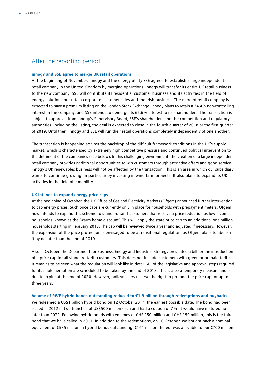## After the reporting period

### **innogy and SSE agree to merge UK retail operations**

At the beginning of November, innogy and the energy utility SSE agreed to establish a large independent retail company in the United Kingdom by merging operations. innogy will transfer its entire UK retail business to the new company. SSE will contribute its residential customer business and its activities in the field of energy solutions but retain corporate customer sales and the Irish business. The merged retail company is expected to have a premium listing on the London Stock Exchange. innogy plans to retain a 34.4% non-controlling interest in the company, and SSE intends to demerge its 65.6% interest to its shareholders. The transaction is subject to approval from innogy's Supervisory Board, SSE's shareholders and the competition and regulatory authorities. Including the listing, the deal is expected to close in the fourth quarter of 2018 or the first quarter of 2019. Until then, innogy and SSE will run their retail operations completely independently of one another.

The transaction is happening against the backdrop of the difficult framework conditions in the UK's supply market, which is characterised by extremely high competitive pressure and continued political intervention to the detriment of the companies (see below). In this challenging environment, the creation of a large independent retail company provides additional opportunities to win customers through attractive offers and good service. innogy's UK renewables business will not be affected by the transaction. This is an area in which our subsidiary wants to continue growing, in particular by investing in wind farm projects. It also plans to expand its UK activities in the field of e-mobility.

#### **UK intends to expand energy price caps**

At the beginning of October, the UK Office of Gas and Electricity Markets (Ofgem) announced further intervention to cap energy prices. Such price caps are currently only in place for households with prepayment meters. Ofgem now intends to expand this scheme to standard-tariff customers that receive a price reduction as low-income households, known as the 'warm home discount'. This will apply the state price cap to an additional one million households starting in February 2018. The cap will be reviewed twice a year and adjusted if necessary. However, the expansion of the price protection is envisaged to be a transitional regulation, as Ofgem plans to abolish it by no later than the end of 2019.

Also in October, the Department for Business, Energy and Industrial Strategy presented a bill for the introduction of a price cap for all standard-tariff customers. This does not include customers with green or prepaid tariffs. It remains to be seen what the regulation will look like in detail. All of the legislative and approval steps required for its implementation are scheduled to be taken by the end of 2018. This is also a temporary measure and is due to expire at the end of 2020. However, policymakers reserve the right to prolong the price cap for up to three years.

#### **Volume of RWE hybrid bonds outstanding reduced to €1.9 billion through redemptions and buybacks**

We redeemed a US\$1 billion hybrid bond on 12 October 2017, the earliest possible date. The bond had been issued in 2012 in two tranches of US\$500 million each and had a coupon of 7%. It would have matured no later than 2072. Following hybrid bonds with volumes of CHF 250 million and CHF 150 million, this is the third bond that we have called in 2017. In addition to the redemptions, on 10 October, we bought back a nominal equivalent of €585 million in hybrid bonds outstanding. €161 million thereof was allocable to our €700 million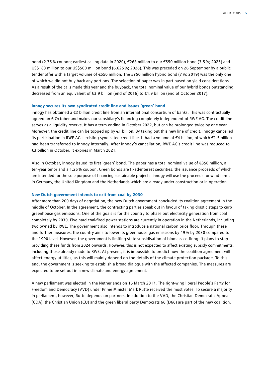bond (2.75% coupon; earliest calling date in 2020), €268 million to our €550 million bond (3.5%; 2025) and US\$183 million to our US\$500 million bond (6.625%; 2026). This was preceded on 26 September by a public tender offer with a target volume of €550 million. The £750 million hybrid bond (7%; 2019) was the only one of which we did not buy back any portions. The selection of paper was in part based on yield considerations. As a result of the calls made this year and the buyback, the total nominal value of our hybrid bonds outstanding decreased from an equivalent of €3.9 billion (end of 2016) to €1.9 billion (end of October 2017).

#### **innogy secures its own syndicated credit line and issues 'green' bond**

innogy has obtained a €2 billion credit line from an international consortium of banks. This was contractually agreed on 6 October and makes our subsidiary's financing completely independent of RWE AG. The credit line serves as a liquidity reserve. It has a term ending in October 2022, but can be prolonged twice by one year. Moreover, the credit line can be topped up by €1 billion. By taking out this new line of credit, innogy cancelled its participation in RWE AG's existing syndicated credit line. It had a volume of €4 billion, of which €1.5 billion had been transferred to innogy internally. After innogy's cancellation, RWE AG's credit line was reduced to €3 billion in October. It expires in March 2021.

Also in October, innogy issued its first 'green' bond. The paper has a total nominal value of €850 million, a ten-year tenor and a 1.25% coupon. Green bonds are fixed-interest securities, the issuance proceeds of which are intended for the sole purpose of financing sustainable projects. innogy will use the proceeds for wind farms in Germany, the United Kingdom and the Netherlands which are already under construction or in operation.

#### **New Dutch government intends to exit from coal by 2030**

After more than 200 days of negotiation, the new Dutch government concluded its coalition agreement in the middle of October. In the agreement, the contracting parties speak out in favour of taking drastic steps to curb greenhouse gas emissions. One of the goals is for the country to phase out electricity generation from coal completely by 2030. Five hard coal-fired power stations are currently in operation in the Netherlands, including two owned by RWE. The government also intends to introduce a national carbon price floor. Through these and further measures, the country aims to lower its greenhouse gas emissions by 49% by 2030 compared to the 1990 level. However, the government is limiting state subsidisation of biomass co-firing: it plans to stop providing these funds from 2024 onwards. However, this is not expected to affect existing subsidy commitments, including those already made to RWE. At present, it is impossible to predict how the coalition agreement will affect energy utilities, as this will mainly depend on the details of the climate protection package. To this end, the government is seeking to establish a broad dialogue with the affected companies. The measures are expected to be set out in a new climate and energy agreement.

A new parliament was elected in the Netherlands on 15 March 2017. The right-wing liberal People's Party for Freedom and Democracy (VVD) under Prime Minister Mark Rutte received the most votes. To secure a majority in parliament, however, Rutte depends on partners. In addition to the VVD, the Christian Democratic Appeal (CDA), the Christian Union (CU) and the green liberal party Democrats 66 (D66) are part of the new coalition.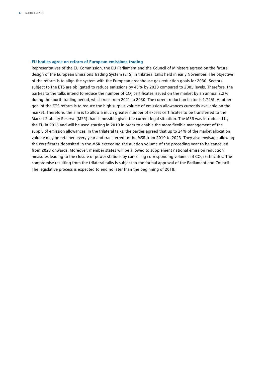#### **EU bodies agree on reform of European emissions trading**

Representatives of the EU Commission, the EU Parliament and the Council of Ministers agreed on the future design of the European Emissions Trading System (ETS) in trilateral talks held in early November. The objective of the reform is to align the system with the European greenhouse gas reduction goals for 2030. Sectors subject to the ETS are obligated to reduce emissions by 43% by 2030 compared to 2005 levels. Therefore, the parties to the talks intend to reduce the number of  $CO<sub>2</sub>$  certificates issued on the market by an annual 2.2% during the fourth trading period, which runs from 2021 to 2030. The current reduction factor is 1.74%. Another goal of the ETS reform is to reduce the high surplus volume of emission allowances currently available on the market. Therefore, the aim is to allow a much greater number of excess certificates to be transferred to the Market Stability Reserve (MSR) than is possible given the current legal situation. The MSR was introduced by the EU in 2015 and will be used starting in 2019 in order to enable the more flexible management of the supply of emission allowances. In the trilateral talks, the parties agreed that up to 24% of the market allocation volume may be retained every year and transferred to the MSR from 2019 to 2023. They also envisage allowing the certificates deposited in the MSR exceeding the auction volume of the preceding year to be cancelled from 2023 onwards. Moreover, member states will be allowed to supplement national emission reduction measures leading to the closure of power stations by cancelling corresponding volumes of CO<sub>2</sub> certificates. The compromise resulting from the trilateral talks is subject to the formal approval of the Parliament and Council. The legislative process is expected to end no later than the beginning of 2018.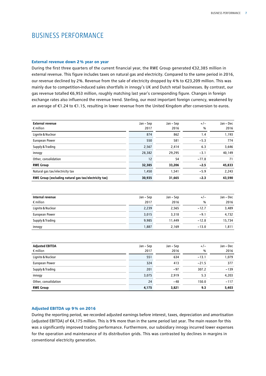## BUSINESS PERFORMANCE

### **External revenue down 2% year on year**

During the first three quarters of the current financial year, the RWE Group generated €32,385 million in external revenue. This figure includes taxes on natural gas and electricity. Compared to the same period in 2016, our revenue declined by 2%. Revenue from the sale of electricity dropped by 4% to €23,209 million. This was mainly due to competition-induced sales shortfalls in innogy's UK and Dutch retail businesses. By contrast, our gas revenue totalled €6,953 million, roughly matching last year's corresponding figure. Changes in foreign exchange rates also influenced the revenue trend. Sterling, our most important foreign currency, weakened by an average of €1.24 to €1.15, resulting in lower revenue from the United Kingdom after conversion to euros.

| <b>External revenue</b><br>$\epsilon$ million         | Jan – Sep<br>2017 | Jan – Sep<br>2016 | $+/-$<br>$\%$ | Jan - Dec<br>2016 |
|-------------------------------------------------------|-------------------|-------------------|---------------|-------------------|
| Lignite & Nuclear                                     | 874               | 862               | 1.4           | 1,193             |
| <b>European Power</b>                                 | 550               | 581               | $-5.3$        | 774               |
| Supply & Trading                                      | 2,567             | 2,414             | 6.3           | 3,646             |
| innogy                                                | 28,382            | 29,295            | $-3.1$        | 40,149            |
| Other, consolidation                                  | 12                | 54                | $-77.8$       | 71                |
| <b>RWE Group</b>                                      | 32,385            | 33,206            | $-2.5$        | 45,833            |
| Natural gas tax/electricity tax                       | 1,450             | 1,541             | $-5.9$        | 2,243             |
| RWE Group (excluding natural gas tax/electricity tax) | 30,935            | 31,665            | $-2.3$        | 43,590            |

| Internal revenue<br>$\epsilon$ million | Jan – Sep<br>2017 | Jan – Sep<br>2016 | $+/-$<br>$\%$ | Jan - Dec<br>2016 |
|----------------------------------------|-------------------|-------------------|---------------|-------------------|
| Lignite & Nuclear                      | 2,239             | 2,565             | $-12.7$       | 3,489             |
| European Power                         | 3,015             | 3,318             | $-9.1$        | 4,732             |
| Supply & Trading                       | 9.985             | 11.449            | $-12.8$       | 15,734            |
| innogy                                 | 1,887             | 2.169             | $-13.0$       | 1,811             |

| <b>Adjusted EBITDA</b><br>$\epsilon$ million | Jan – Sep<br>2017 | Jan – Sep<br>2016 | $+/-$<br>% | Jan – Dec<br>2016 |
|----------------------------------------------|-------------------|-------------------|------------|-------------------|
| Lignite & Nuclear                            | 551               | 634               | $-13.1$    | 1,079             |
| European Power                               | 324               | 413               | $-21.5$    | 377               |
| Supply & Trading                             | 201               | $-97$             | 307.2      | $-139$            |
| innogy                                       | 3,075             | 2,919             | 5.3        | 4,203             |
| Other, consolidation                         | 24                | $-48$             | 150.0      | $-117$            |
| <b>RWE Group</b>                             | 4,175             | 3,821             | 9.3        | 5,403             |

### **Adjusted EBITDA up 9% on 2016**

During the reporting period, we recorded adjusted earnings before interest, taxes, depreciation and amortisation (adjusted EBITDA) of €4,175 million. This is 9% more than in the same period last year. The main reason for this was a significantly improved trading performance. Furthermore, our subsidiary innogy incurred lower expenses for the operation and maintenance of its distribution grids. This was contrasted by declines in margins in conventional electricity generation.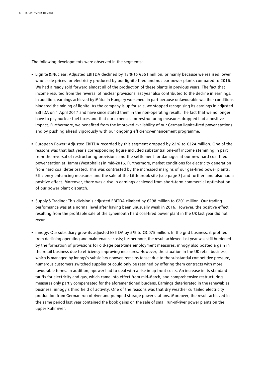The following developments were observed in the segments:

- Lignite & Nuclear: Adjusted EBITDA declined by 13 % to €551 million, primarily because we realised lower wholesale prices for electricity produced by our lignite-fired and nuclear power plants compared to 2016. We had already sold forward almost all of the production of these plants in previous years. The fact that income resulted from the reversal of nuclear provisions last year also contributed to the decline in earnings. In addition, earnings achieved by Mátra in Hungary worsened, in part because unfavourable weather conditions hindered the mining of lignite. As the company is up for sale, we stopped recognising its earnings in adjusted EBITDA on 1 April 2017 and have since stated them in the non-operating result. The fact that we no longer have to pay nuclear fuel taxes and that our expenses for restructuring measures dropped had a positive impact. Furthermore, we benefited from the improved availability of our German lignite-fired power stations and by pushing ahead vigorously with our ongoing efficiency-enhancement programme.
- European Power: Adjusted EBITDA recorded by this segment dropped by 22 % to €324 million. One of the reasons was that last year's corresponding figure included substantial one-off income stemming in part from the reversal of restructuring provisions and the settlement for damages at our new hard coal-fired power station at Hamm (Westphalia) in mid-2016. Furthermore, market conditions for electricity generation from hard coal deteriorated. This was contrasted by the increased margins of our gas-fired power plants. Efficiency-enhancing measures and the sale of the Littlebrook site (see page 3) and further land also had a positive effect. Moreover, there was a rise in earnings achieved from short-term commercial optimisation of our power plant dispatch.
- Supply&Trading: This division's adjusted EBITDA climbed by €298 million to €201 million. Our trading performance was at a normal level after having been unusually weak in 2016. However, the positive effect resulting from the profitable sale of the Lynemouth hard coal-fired power plant in the UK last year did not recur.
- innogy: Our subsidiary grew its adjusted EBITDA by 5% to €3,075 million. In the grid business, it profited from declining operating and maintenance costs; furthermore, the result achieved last year was still burdened by the formation of provisions for old-age part-time employment measures. innogy also posted a gain in the retail business due to efficiency-improving measures. However, the situation in the UK retail business, which is managed by innogy's subsidiary npower, remains tense: due to the substantial competitive pressure, numerous customers switched supplier or could only be retained by offering them contracts with more favourable terms. In addition, npower had to deal with a rise in up-front costs. An increase in its standard tariffs for electricity and gas, which came into effect from mid-March, and comprehensive restructuring measures only partly compensated for the aforementioned burdens. Earnings deteriorated in the renewables business, innogy's third field of activity. One of the reasons was that dry weather curtailed electricity production from German run-of-river and pumped-storage power stations. Moreover, the result achieved in the same period last year contained the book gains on the sale of small run-of-river power plants on the upper Ruhr river.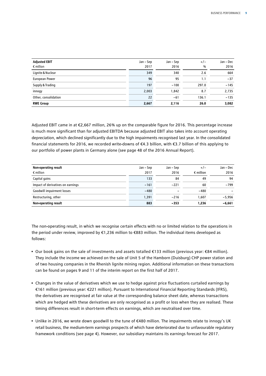| <b>Adjusted EBIT</b> | Jan – Sep | Jan – Sep | $+/-$ | Jan – Dec |
|----------------------|-----------|-----------|-------|-----------|
| $\epsilon$ million   | 2017      | 2016      | %     | 2016      |
| Lignite & Nuclear    | 349       | 340       | 2.6   | 664       |
| European Power       | 96        | 95        | 1.1   | $-37$     |
| Supply & Trading     | 197       | $-100$    | 297.0 | $-145$    |
| innogy               | 2,003     | 1,842     | 8.7   | 2,735     |
| Other, consolidation | 22        | $-61$     | 136.1 | $-135$    |
| <b>RWE Group</b>     | 2,667     | 2,116     | 26.0  | 3,082     |

Adjusted EBIT came in at €2,667 million, 26% up on the comparable figure for 2016. This percentage increase is much more significant than for adjusted EBITDA because adjusted EBIT also takes into account operating depreciation, which declined significantly due to the high impairments recognised last year. In the consolidated financial statements for 2016, we recorded write-downs of €4.3 billion, with €3.7 billion of this applying to our portfolio of power plants in Germany alone (see page 48 of the 2016 Annual Report).

| Non-operating result              | Jan – Sep | Jan – Sep | $+/-$              | Jan - Dec |
|-----------------------------------|-----------|-----------|--------------------|-----------|
| $\epsilon$ million                | 2017      | 2016      | $\epsilon$ million | 2016      |
| Capital gains                     | 133       | 84        | 49                 | 94        |
| Impact of derivatives on earnings | $-161$    | $-221$    | 60                 | $-799$    |
| <b>Goodwill impairment losses</b> | $-480$    |           | $-480$             |           |
| Restructuring, other              | 1.391     | $-216$    | 1.607              | $-5,956$  |
| Non-operating result              | 883       | $-353$    | 1.236              | $-6,661$  |

The non-operating result, in which we recognise certain effects with no or limited relation to the operations in the period under review, improved by €1,236 million to €883 million. The individual items developed as follows:

- Our book gains on the sale of investments and assets totalled €133 million (previous year: €84 million). They include the income we achieved on the sale of Unit 5 of the Hamborn (Duisburg) CHP power station and of two housing companies in the Rhenish lignite mining region. Additional information on these transactions can be found on pages 9 and 11 of the interim report on the first half of 2017.
- Changes in the value of derivatives which we use to hedge against price fluctuations curtailed earnings by €161 million (previous year: €221 million). Pursuant to International Financial Reporting Standards (IFRS), the derivatives are recognised at fair value at the corresponding balance sheet date, whereas transactions which are hedged with these derivatives are only recognised as a profit or loss when they are realised. These timing differences result in short-term effects on earnings, which are neutralised over time.
- Unlike in 2016, we wrote down goodwill to the tune of €480 million. The impairments relate to innogy's UK retail business, the medium-term earnings prospects of which have deteriorated due to unfavourable regulatory framework conditions (see page 4). However, our subsidiary maintains its earnings forecast for 2017.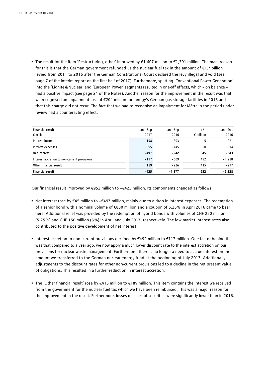• The result for the item 'Restructuring, other' improved by €1,607 million to €1,391 million. The main reason for this is that the German government refunded us the nuclear fuel tax in the amount of €1.7 billion levied from 2011 to 2016 after the German Constitutional Court declared the levy illegal and void (see page 7 of the interim report on the first half of 2017). Furthermore, splitting 'Conventional Power Generation' into the 'Lignite&Nuclear' and 'European Power' segments resulted in one-off effects, which – on balance – had a positive impact (see page 24 of the Notes). Another reason for the improvement in the result was that we recognised an impairment loss of €204 million for innogy's German gas storage facilities in 2016 and that this charge did not recur. The fact that we had to recognise an impairment for Mátra in the period under review had a counteracting effect.

| <b>Financial result</b>                      | Jan – Sep | Jan – Sep | $+/-$              | Jan - Dec |
|----------------------------------------------|-----------|-----------|--------------------|-----------|
| $\epsilon$ million                           | 2017      | 2016      | $\epsilon$ million | 2016      |
| Interest income                              | 198       | 203       | $-5$               | 271       |
| Interest expenses                            | $-695$    | $-745$    | 50                 | $-914$    |
| <b>Net interest</b>                          | $-497$    | $-542$    | 45                 | $-643$    |
| Interest accretion to non-current provisions | $-117$    | $-609$    | 492                | $-1,288$  |
| Other financial result                       | 189       | $-226$    | 415                | $-297$    |
| <b>Financial result</b>                      | $-425$    | $-1,377$  | 952                | $-2,228$  |

Our financial result improved by €952 million to −€425 million. Its components changed as follows:

- Net interest rose by €45 million to −€497 million, mainly due to a drop in interest expenses. The redemption of a senior bond with a nominal volume of €850 million and a coupon of 6.25 % in April 2016 came to bear here. Additional relief was provided by the redemption of hybrid bonds with volumes of CHF 250 million (5.25 %) and CHF 150 million (5 %) in April and July 2017, respectively. The low market interest rates also contributed to the positive development of net interest.
- Interest accretion to non-current provisions declined by €492 million to €117 million. One factor behind this was that compared to a year ago, we now apply a much lower discount rate to the interest accretion on our provisions for nuclear waste management. Furthermore, there is no longer a need to accrue interest on the amount we transferred to the German nuclear energy fund at the beginning of July 2017. Additionally, adjustments to the discount rates for other non-current provisions led to a decline in the net present value of obligations. This resulted in a further reduction in interest accretion.
- The 'Other financial result' rose by €415 million to €189 million. This item contains the interest we received from the government for the nuclear fuel tax which we have been reimbursed. This was a major reason for the improvement in the result. Furthermore, losses on sales of securities were significantly lower than in 2016.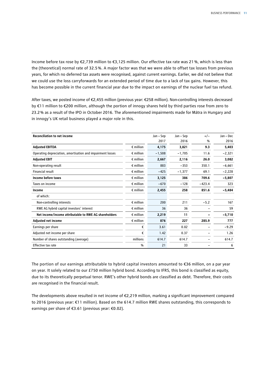Income before tax rose by €2,739 million to €3,125 million. Our effective tax rate was 21%, which is less than the (theoretical) normal rate of 32.5%. A major factor was that we were able to offset tax losses from previous years, for which no deferred tax assets were recognised, against current earnings. Earlier, we did not believe that we could use the loss carryforwards for an extended period of time due to a lack of tax gains. However, this has become possible in the current financial year due to the impact on earnings of the nuclear fuel tax refund.

After taxes, we posted income of €2,455 million (previous year: €258 million). Non-controlling interests decreased by €11 million to €200 million, although the portion of innogy shares held by third parties rose from zero to 23.2% as a result of the IPO in October 2016. The aforementioned impairments made for Mátra in Hungary and in innogy's UK retail business played a major role in this.

| <b>Reconciliation to net income</b>                        |                    | Jan – Sep | Jan – Sep | $+/-$    | Jan - Dec |
|------------------------------------------------------------|--------------------|-----------|-----------|----------|-----------|
|                                                            |                    | 2017      | 2016      | %        | 2016      |
| <b>Adjusted EBITDA</b>                                     | $\epsilon$ million | 4,175     | 3,821     | 9.3      | 5,403     |
| Operating depreciation, amortisation and impairment losses | $\epsilon$ million | $-1,508$  | $-1,705$  | 11.6     | $-2,321$  |
| <b>Adjusted EBIT</b>                                       | $\epsilon$ million | 2,667     | 2,116     | 26.0     | 3,082     |
| Non-operating result                                       | $\epsilon$ million | 883       | $-353$    | 350.1    | $-6,661$  |
| Financial result                                           | $\epsilon$ million | $-425$    | $-1,377$  | 69.1     | $-2,228$  |
| Income before taxes                                        | $\epsilon$ million | 3,125     | 386       | 709.6    | $-5,807$  |
| Taxes on income                                            | $\epsilon$ million | $-670$    | $-128$    | $-423.4$ | 323       |
| Income                                                     | $\epsilon$ million | 2,455     | 258       | 851.6    | $-5,484$  |
| of which:                                                  |                    |           |           |          |           |
| Non-controlling interests                                  | $\epsilon$ million | 200       | 211       | $-5.2$   | 167       |
| RWE AG hybrid capital investors' interest                  | $\epsilon$ million | 36        | 36        |          | 59        |
| Net income/income attributable to RWE AG shareholders      | $\epsilon$ million | 2,219     | 11        |          | $-5,710$  |
| <b>Adjusted net income</b>                                 | $\epsilon$ million | 876       | 227       | 285.9    | 777       |
| Earnings per share                                         | €                  | 3.61      | 0.02      |          | $-9.29$   |
| Adjusted net income per share                              | €                  | 1.42      | 0.37      |          | 1.26      |
| Number of shares outstanding (average)                     | millions           | 614.7     | 614.7     |          | 614.7     |
| Effective tax rate                                         | %                  | 21        | 33        |          | 6         |

The portion of our earnings attributable to hybrid capital investors amounted to €36 million, on a par year on year. It solely related to our £750 million hybrid bond. According to IFRS, this bond is classified as equity, due to its theoretically perpetual tenor. RWE's other hybrid bonds are classified as debt. Therefore, their costs are recognised in the financial result.

The developments above resulted in net income of €2,219 million, marking a significant improvement compared to 2016 (previous year: €11 million). Based on the 614.7 million RWE shares outstanding, this corresponds to earnings per share of €3.61 (previous year: €0.02).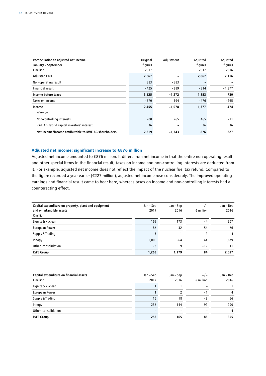| Reconciliation to adjusted net income<br>January – September | Original<br>figures | Adjustment | Adjusted<br>figures | Adjusted<br>figures |
|--------------------------------------------------------------|---------------------|------------|---------------------|---------------------|
| $\epsilon$ million                                           | 2017                |            | 2017                | 2016                |
| <b>Adjusted EBIT</b>                                         | 2,667               |            | 2,667               | 2,116               |
| Non-operating result                                         | 883                 | $-883$     |                     |                     |
| Financial result                                             | $-425$              | $-389$     | $-814$              | $-1,377$            |
| Income before taxes                                          | 3,125               | $-1,272$   | 1,853               | 739                 |
| Taxes on income                                              | $-670$              | 194        | $-476$              | $-265$              |
| Income                                                       | 2,455               | $-1,078$   | 1,377               | 474                 |
| of which:                                                    |                     |            |                     |                     |
| Non-controlling interests                                    | 200                 | 265        | 465                 | 211                 |
| RWE AG hybrid capital investors' interest                    | 36                  | -          | 36                  | 36                  |
| Net income/income attributable to RWE AG shareholders        | 2,219               | -1,343     | 876                 | 227                 |

### **Adjusted net income: significant increase to €876 million**

Adjusted net income amounted to €876 million. It differs from net income in that the entire non-operating result and other special items in the financial result, taxes on income and non-controlling interests are deducted from it. For example, adjusted net income does not reflect the impact of the nuclear fuel tax refund. Compared to the figure recorded a year earlier (€227 million), adjusted net income rose considerably. The improved operating earnings and financial result came to bear here, whereas taxes on income and non-controlling interests had a counteracting effect.

| Capital expenditure on property, plant and equipment<br>and on intangible assets<br>$\epsilon$ million | Jan – Sep<br>2017 | Jan – Sep<br>2016 | $+/-$<br>$\epsilon$ million | Jan – Dec<br>2016 |
|--------------------------------------------------------------------------------------------------------|-------------------|-------------------|-----------------------------|-------------------|
| Lignite & Nuclear                                                                                      | 169               | 173               | -4                          | 267               |
| <b>European Power</b>                                                                                  | 86                | 32                | 54                          | 66                |
| Supply & Trading                                                                                       |                   |                   | 2                           | 4                 |
| innogy                                                                                                 | 1,008             | 964               | 44                          | 1,679             |
| Other, consolidation                                                                                   | $-3$              | q                 | $-12$                       | 11                |
| <b>RWE Group</b>                                                                                       | 1,263             | 1.179             | 84                          | 2,027             |

| Capital expenditure on financial assets | Jan – Sep | Jan – Sep | $+/-$                    | Jan - Dec |
|-----------------------------------------|-----------|-----------|--------------------------|-----------|
| $\epsilon$ million                      | 2017      | 2016      | $\epsilon$ million       | 2016      |
| Lignite & Nuclear                       |           |           | $\qquad \qquad$          |           |
| European Power                          |           |           | $\overline{\phantom{0}}$ | 4         |
| Supply & Trading                        | 15        | 18        | -3                       | 56        |
| innogy                                  | 236       | 144       | 92                       | 290       |
| Other, consolidation                    |           |           | $\overline{\phantom{0}}$ | 4         |
| <b>RWE Group</b>                        | 253       | 165       | 88                       | 355       |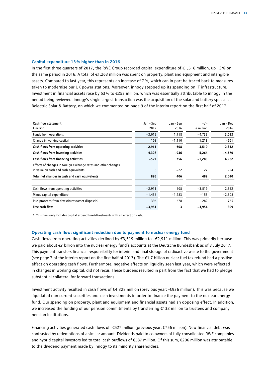#### **Capital expenditure 13% higher than in 2016**

In the first three quarters of 2017, the RWE Group recorded capital expenditure of €1,516 million, up 13% on the same period in 2016. A total of €1,263 million was spent on property, plant and equipment and intangible assets. Compared to last year, this represents an increase of 7%, which can in part be traced back to measures taken to modernise our UK power stations. Moreover, innogy stepped up its spending on IT infrastructure. Investment in financial assets rose by 53% to €253 million, which was essentially attributable to innogy in the period being reviewed. innogy's single-largest transaction was the acquisition of the solar and battery specialist Belectric Solar & Battery, on which we commented on page 9 of the interim report on the first half of 2017.

| <b>Cash flow statement</b>                                     | Jan – Sep | Jan – Sep | $+/-$              | Jan - Dec |
|----------------------------------------------------------------|-----------|-----------|--------------------|-----------|
| $\epsilon$ million                                             | 2017      | 2016      | $\epsilon$ million | 2016      |
| Funds from operations                                          | $-3,019$  | 1,718     | $-4,737$           | 3,013     |
| Change in working capital                                      | 108       | $-1,110$  | 1,218              | -661      |
| Cash flows from operating activities                           | $-2,911$  | 608       | $-3,519$           | 2,352     |
| Cash flows from investing activities                           | 4,328     | -936      | 5,264              | $-4,570$  |
| Cash flows from financing activities                           | $-527$    | 756       | $-1,283$           | 4,282     |
| Effects of changes in foreign exchange rates and other changes |           |           |                    |           |
| in value on cash and cash equivalents                          | 5         | $-22$     | 27                 | $-24$     |
| Total net changes in cash and cash equivalents                 | 895       | 406       | 489                | 2,040     |
| Cash flows from operating activities                           | $-2,911$  | 608       | $-3,519$           | 2,352     |
| Minus capital expenditure <sup>1</sup>                         | $-1,436$  | -1,283    | $-153$             | $-2,308$  |
| Plus proceeds from divestitures/asset disposals <sup>1</sup>   | 396       | 678       | $-282$             | 765       |
| Free cash flow                                                 | $-3,951$  | 3         | $-3,954$           | 809       |

1 This item only includes capital expenditure/divestments with an effect on cash.

#### **Operating cash flow: significant reduction due to payment to nuclear energy fund**

Cash flows from operating activities declined by €3,519 million to −€2,911 million. This was primarily because we paid about €7 billion into the nuclear energy fund's accounts at the Deutsche Bundesbank as of 3 July 2017. This payment transfers financial responsibility for interim and final storage of radioactive waste to the government (see page 7 of the interim report on the first half of 2017). The  $\epsilon$ 1.7 billion nuclear fuel tax refund had a positive effect on operating cash flows. Furthermore, negative effects on liquidity seen last year, which were reflected in changes in working capital, did not recur. These burdens resulted in part from the fact that we had to pledge substantial collateral for forward transactions.

Investment activity resulted in cash flows of €4,328 million (previous year: –€936 million). This was because we liquidated non-current securities and cash investments in order to finance the payment to the nuclear energy fund. Our spending on property, plant and equipment and financial assets had an opposing effect. In addition, we increased the funding of our pension commitments by transferring €132 million to trustees and company pension institutions.

Financing activities generated cash flows of –€527 million (previous year: €756 million). New financial debt was contrasted by redemptions of a similar amount. Dividends paid to co-owners of fully consolidated RWE companies and hybrid capital investors led to total cash outflows of €587 million. Of this sum, €206 million was attributable to the dividend payment made by innogy to its minority shareholders.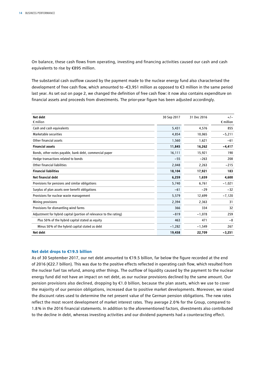On balance, these cash flows from operating, investing and financing activities caused our cash and cash equivalents to rise by €895 million.

The substantial cash outflow caused by the payment made to the nuclear energy fund also characterised the development of free cash flow, which amounted to –€3,951 million as opposed to €3 million in the same period last year. As set out on page 2, we changed the definition of free cash flow: it now also contains expenditure on financial assets and proceeds from divestments. The prior-year figure has been adjusted accordingly.

| Net debt                                                           | 30 Sep 2017 | 31 Dec 2016 | $+/-$              |
|--------------------------------------------------------------------|-------------|-------------|--------------------|
| $\epsilon$ million                                                 |             |             | $\epsilon$ million |
| Cash and cash equivalents                                          | 5,431       | 4,576       | 855                |
| Marketable securities                                              | 4,854       | 10,065      | $-5,211$           |
| Other financial assets                                             | 1,560       | 1,621       | $-61$              |
| <b>Financial assets</b>                                            | 11,845      | 16,262      | $-4,417$           |
| Bonds, other notes payable, bank debt, commercial paper            | 16,111      | 15,921      | 190                |
| Hedge transactions related to bonds                                | $-55$       | $-263$      | 208                |
| Other financial liabilities                                        | 2,048       | 2,263       | $-215$             |
| <b>Financial liabilities</b>                                       | 18,104      | 17,921      | 183                |
| Net financial debt                                                 | 6,259       | 1,659       | 4,600              |
| Provisions for pensions and similar obligations                    | 5,740       | 6,761       | $-1,021$           |
| Surplus of plan assets over benefit obligations                    | $-61$       | $-29$       | $-32$              |
| Provisions for nuclear waste management                            | 5,579       | 12,699      | $-7,120$           |
| Mining provisions                                                  | 2,394       | 2,363       | 31                 |
| Provisions for dismantling wind farms                              | 366         | 334         | 32                 |
| Adjustment for hybrid capital (portion of relevance to the rating) | $-819$      | $-1,078$    | 259                |
| Plus 50% of the hybrid capital stated as equity                    | 463         | 471         | -8                 |
| Minus 50% of the hybrid capital stated as debt                     | $-1,282$    | $-1,549$    | 267                |
| Net debt                                                           | 19,458      | 22,709      | $-3,251$           |

### **Net debt drops to €19.5 billion**

As of 30 September 2017, our net debt amounted to €19.5 billion, far below the figure recorded at the end of 2016 (€22.7 billion). This was due to the positive effects reflected in operating cash flow, which resulted from the nuclear fuel tax refund, among other things. The outflow of liquidity caused by the payment to the nuclear energy fund did not have an impact on net debt, as our nuclear provisions declined by the same amount. Our pension provisions also declined, dropping by €1.0 billion, because the plan assets, which we use to cover the majority of our pension obligations, increased due to positive market developments. Moreover, we raised the discount rates used to determine the net present value of the German pension obligations. The new rates reflect the most recent development of market interest rates. They average 2.0% for the Group, compared to 1.8% in the 2016 financial statements. In addition to the aforementioned factors, divestments also contributed to the decline in debt, whereas investing activities and our dividend payments had a counteracting effect.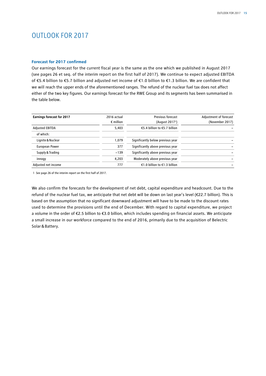## OUTLOOK FOR 2017

### **Forecast for 2017 confirmed**

Our earnings forecast for the current fiscal year is the same as the one which we published in August 2017 (see pages 26 et seq. of the interim report on the first half of 2017). We continue to expect adjusted EBITDA of €5.4 billion to €5.7 billion and adjusted net income of €1.0 billion to €1.3 billion. We are confident that we will reach the upper ends of the aforementioned ranges. The refund of the nuclear fuel tax does not affect either of the two key figures. Our earnings forecast for the RWE Group and its segments has been summarised in the table below.

| <b>Earnings forecast for 2017</b> | 2016 actual<br>$\epsilon$ million | <b>Previous forecast</b><br>(August 2017 <sup>1</sup> ) | Adjustment of forecast<br>(November 2017) |
|-----------------------------------|-----------------------------------|---------------------------------------------------------|-------------------------------------------|
| <b>Adjusted EBITDA</b>            | 5,403                             | €5.4 billion to €5.7 billion                            |                                           |
| of which:                         |                                   |                                                         |                                           |
| Lignite & Nuclear                 | 1,079                             | Significantly below previous year                       |                                           |
| European Power                    | 377                               | Significantly above previous year                       |                                           |
| Supply & Trading                  | $-139$                            | Significantly above previous year                       |                                           |
| innogy                            | 4,203                             | Moderately above previous year                          |                                           |
| Adjusted net income               | 777                               | €1.0 billion to €1.3 billion                            |                                           |

1 See page 26 of the interim report on the first half of 2017.

We also confirm the forecasts for the development of net debt, capital expenditure and headcount. Due to the refund of the nuclear fuel tax, we anticipate that net debt will be down on last year's level (€22.7 billion). This is based on the assumption that no significant downward adjustment will have to be made to the discount rates used to determine the provisions until the end of December. With regard to capital expenditure, we project a volume in the order of €2.5 billion to €3.0 billion, which includes spending on financial assets. We anticipate a small increase in our workforce compared to the end of 2016, primarily due to the acquisition of Belectric Solar&Battery.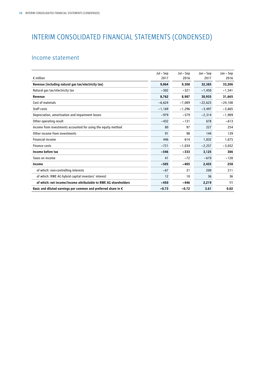## INTERIM CONSOLIDATED FINANCIAL STATEMENTS (CONDENSED)

## Income statement

|                                                                         | Jul – Sep | Jul – Sep | Jan - Sep | Jan – Sep |
|-------------------------------------------------------------------------|-----------|-----------|-----------|-----------|
| $\epsilon$ million                                                      | 2017      | 2016      | 2017      | 2016      |
| Revenue (including natural gas tax/electricity tax)                     | 9,064     | 9,308     | 32,385    | 33,206    |
| Natural gas tax/electricity tax                                         | $-302$    | $-321$    | $-1,450$  | $-1,541$  |
| Revenue                                                                 | 8,762     | 8,987     | 30,935    | 31,665    |
| Cost of materials                                                       | $-6,624$  | $-7,089$  | $-22,623$ | $-24,108$ |
| Staff costs                                                             | $-1,169$  | $-1,296$  | $-3,497$  | $-3,665$  |
| Depreciation, amortisation and impairment losses                        | $-979$    | $-579$    | $-2,314$  | $-1,909$  |
| Other operating result                                                  | $-432$    | $-131$    | 678       | $-613$    |
| Income from investments accounted for using the equity method           | 80        | 97        | 227       | 254       |
| Other income from investments                                           | 91        | 98        | 144       | 139       |
| Financial income                                                        | 446       | 614       | 1,832     | 1,675     |
| <b>Finance costs</b>                                                    | $-721$    | $-1,034$  | $-2,257$  | $-3,052$  |
| Income before tax                                                       | $-546$    | $-333$    | 3,125     | 386       |
| Taxes on income                                                         | 41        | $-72$     | $-670$    | $-128$    |
| Income                                                                  | $-505$    | $-405$    | 2,455     | 258       |
| of which: non-controlling interests                                     | $-67$     | 31        | 200       | 211       |
| of which: RWE AG hybrid capital investors' interest                     | 12        | 10        | 36        | 36        |
| of which: net income/income attributable to RWE AG shareholders         | $-450$    | -446      | 2,219     | 11        |
| Basic and diluted earnings per common and preferred share in $\epsilon$ | $-0.73$   | $-0.72$   | 3.61      | 0.02      |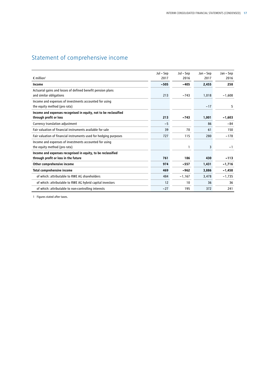## Statement of comprehensive income

|                                                                                            | Jul – Sep | Jul – Sep | Jan – Sep | Jan – Sep |
|--------------------------------------------------------------------------------------------|-----------|-----------|-----------|-----------|
| $\epsilon$ million <sup>1</sup>                                                            | 2017      | 2016      | 2017      | 2016      |
| Income                                                                                     | $-505$    | $-405$    | 2,455     | 258       |
| Actuarial gains and losses of defined benefit pension plans<br>and similar obligations     | 213       | $-743$    | 1,018     | $-1,608$  |
| Income and expenses of investments accounted for using<br>the equity method (pro rata)     |           |           | $-17$     | 5         |
| Income and expenses recognised in equity, not to be reclassified<br>through profit or loss | 213       | $-743$    | 1,001     | $-1,603$  |
| Currency translation adjustment                                                            | $-5$      |           | 86        | $-84$     |
| Fair valuation of financial instruments available for sale                                 | 39        | 70        | 61        | 150       |
| Fair valuation of financial instruments used for hedging purposes                          | 727       | 115       | 280       | $-178$    |
| Income and expenses of investments accounted for using<br>the equity method (pro rata)     |           |           | 3         | $-1$      |
| Income and expenses recognised in equity, to be reclassified                               |           |           |           |           |
| through profit or loss in the future                                                       | 761       | 186       | 430       | $-113$    |
| Other comprehensive income                                                                 | 974       | $-557$    | 1,431     | $-1,716$  |
| Total comprehensive income                                                                 | 469       | $-962$    | 3,886     | $-1,458$  |
| of which: attributable to RWE AG shareholders                                              | 484       | $-1,167$  | 3,478     | $-1,735$  |
| of which: attributable to RWE AG hybrid capital investors                                  | 12        | 10        | 36        | 36        |
| of which: attributable to non-controlling interests                                        | $-27$     | 195       | 372       | 241       |

1 Figures stated after taxes.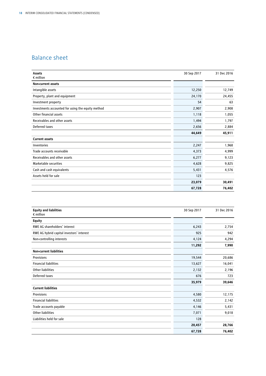## Balance sheet

| <b>Assets</b><br>$\epsilon$ million               | 30 Sep 2017 | 31 Dec 2016 |
|---------------------------------------------------|-------------|-------------|
| Non-current assets                                |             |             |
| Intangible assets                                 | 12,250      | 12,749      |
| Property, plant and equipment                     | 24,170      | 24,455      |
| Investment property                               | 54          | 63          |
| Investments accounted for using the equity method | 2,907       | 2,908       |
| Other financial assets                            | 1,118       | 1,055       |
| Receivables and other assets                      | 1,494       | 1,797       |
| Deferred taxes                                    | 2,656       | 2,884       |
|                                                   | 44,649      | 45,911      |
| <b>Current assets</b>                             |             |             |
| Inventories                                       | 2,247       | 1,968       |
| Trade accounts receivable                         | 4,373       | 4,999       |
| Receivables and other assets                      | 6,277       | 9,123       |
| Marketable securities                             | 4,628       | 9,825       |
| Cash and cash equivalents                         | 5,431       | 4,576       |
| Assets held for sale                              | 123         |             |
|                                                   | 23,079      | 30,491      |
|                                                   | 67,728      | 76,402      |

| <b>Equity and liabilities</b><br>$\epsilon$ million | 30 Sep 2017 | 31 Dec 2016 |
|-----------------------------------------------------|-------------|-------------|
| <b>Equity</b>                                       |             |             |
| RWE AG shareholders' interest                       | 6,243       | 2,754       |
| RWE AG hybrid capital investors' interest           | 925         | 942         |
| Non-controlling interests                           | 4,124       | 4,294       |
|                                                     | 11,292      | 7,990       |
| <b>Non-current liabilities</b>                      |             |             |
| Provisions                                          | 19,544      | 20,686      |
| <b>Financial liabilities</b>                        | 13,627      | 16,041      |
| Other liabilities                                   | 2,132       | 2,196       |
| Deferred taxes                                      | 676         | 723         |
|                                                     | 35,979      | 39,646      |
| <b>Current liabilities</b>                          |             |             |
| Provisions                                          | 4,580       | 12,175      |
| <b>Financial liabilities</b>                        | 4,532       | 2,142       |
| Trade accounts payable                              | 4,146       | 5,431       |
| <b>Other liabilities</b>                            | 7,071       | 9,018       |
| Liabilities held for sale                           | 128         |             |
|                                                     | 20,457      | 28,766      |
|                                                     | 67,728      | 76,402      |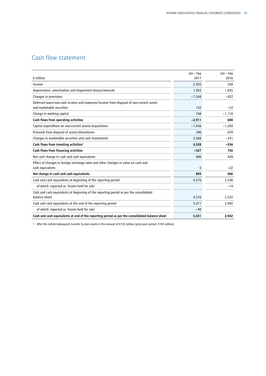## Cash flow statement

|                                                                                                | Jan - Sep | Jan - Sep |
|------------------------------------------------------------------------------------------------|-----------|-----------|
| $\epsilon$ million                                                                             | 2017      | 2016      |
| Income                                                                                         | 2,455     | 258       |
| Depreciation, amortisation and impairment losses/reversals                                     | 1,922     | 1,935     |
| Changes in provisions                                                                          | $-7,548$  | $-422$    |
| Deferred taxes/non-cash income and expenses/income from disposal of non-current assets         |           |           |
| and marketable securities                                                                      | 152       | $-53$     |
| Change in working capital                                                                      | 108       | $-1,110$  |
| Cash flows from operating activities                                                           | $-2,911$  | 608       |
| Capital expenditure on non-current assets/acquisitions                                         | $-1,436$  | $-1,283$  |
| Proceeds from disposal of assets/divestitures                                                  | 396       | 678       |
| Changes in marketable securities and cash investments                                          | 5,368     | $-331$    |
| Cash flows from investing activities <sup>1</sup>                                              | 4,328     | $-936$    |
| Cash flows from financing activities                                                           | $-527$    | 756       |
| Net cash change in cash and cash equivalents                                                   | 890       | 428       |
| Effect of changes in foreign exchange rates and other changes in value on cash and             |           |           |
| cash equivalents                                                                               | 5         | $-22$     |
| Net change in cash and cash equivalents                                                        | 895       | 406       |
| Cash and cash equivalents at beginning of the reporting period                                 | 4,576     | 2,536     |
| of which: reported as 'Assets held for sale'                                                   |           | $-14$     |
| Cash and cash equivalents at beginning of the reporting period as per the consolidated         |           |           |
| balance sheet                                                                                  | 4,576     | 2,522     |
| Cash and cash equivalents at the end of the reporting period                                   | 5,471     | 2,942     |
| of which: reported as 'Assets held for sale'                                                   | $-40$     |           |
| Cash and cash equivalents at end of the reporting period as per the consolidated balance sheet | 5,431     | 2,942     |

1 After the initial/subsequent transfer to plan assets in the amount of €132 million (prior-year period: €193 million).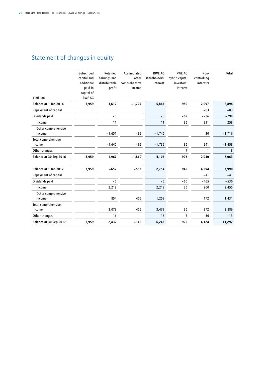## Statement of changes in equity

| $\epsilon$ million            | Subscribed<br>capital and<br>additional<br>paid-in<br>capital of<br><b>RWE AG</b> | Retained<br>earnings and<br>distributable<br>profit | Accumulated<br>other<br>comprehensive<br>income | <b>RWE AG</b><br>shareholders'<br>interest | <b>RWE AG</b><br>hybrid capital<br>investors'<br>interest | Non-<br>controlling<br>interests | <b>Total</b> |
|-------------------------------|-----------------------------------------------------------------------------------|-----------------------------------------------------|-------------------------------------------------|--------------------------------------------|-----------------------------------------------------------|----------------------------------|--------------|
| Balance at 1 Jan 2016         | 3,959                                                                             | 3,612                                               | $-1,724$                                        | 5,847                                      | 950                                                       | 2,097                            | 8,894        |
| Repayment of capital          |                                                                                   |                                                     |                                                 |                                            |                                                           | $-83$                            | $-83$        |
| Dividends paid                |                                                                                   | $-5$                                                |                                                 | $-5$                                       | $-67$                                                     | $-226$                           | $-298$       |
| Income                        |                                                                                   | 11                                                  |                                                 | 11                                         | 36                                                        | 211                              | 258          |
| Other comprehensive<br>income |                                                                                   | $-1,651$                                            | $-95$                                           | $-1,746$                                   |                                                           | 30                               | $-1,716$     |
| Total comprehensive<br>income |                                                                                   | $-1,640$                                            | $-95$                                           | $-1,735$                                   | 36                                                        | 241                              | $-1,458$     |
| Other changes                 |                                                                                   |                                                     |                                                 |                                            | $\overline{7}$                                            | $\mathbf{1}$                     | 8            |
| Balance at 30 Sep 2016        | 3,959                                                                             | 1,967                                               | $-1,819$                                        | 4,107                                      | 926                                                       | 2,030                            | 7,063        |
| Balance at 1 Jan 2017         | 3,959                                                                             | $-652$                                              | $-553$                                          | 2,754                                      | 942                                                       | 4,294                            | 7,990        |
| Repayment of capital          |                                                                                   |                                                     |                                                 |                                            |                                                           | $-41$                            | $-41$        |
| Dividends paid                |                                                                                   | $-5$                                                |                                                 | $-5$                                       | $-60$                                                     | $-465$                           | $-530$       |
| Income                        |                                                                                   | 2,219                                               |                                                 | 2,219                                      | 36                                                        | 200                              | 2,455        |
| Other comprehensive<br>income |                                                                                   | 854                                                 | 405                                             | 1,259                                      |                                                           | 172                              | 1,431        |
| Total comprehensive<br>income |                                                                                   | 3,073                                               | 405                                             | 3,478                                      | 36                                                        | 372                              | 3,886        |
| Other changes                 |                                                                                   | 16                                                  |                                                 | 16                                         | $\overline{7}$                                            | $-36$                            | $-13$        |
| Balance at 30 Sep 2017        | 3,959                                                                             | 2,432                                               | $-148$                                          | 6,243                                      | 925                                                       | 4,124                            | 11,292       |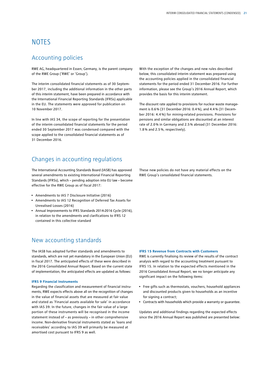## **NOTES**

## Accounting policies

RWE AG, headquartered in Essen, Germany, is the parent company of the RWE Group ('RWE' or 'Group').

The interim consolidated financial statements as of 30 September 2017, including the additional information in the other parts of this interim statement, have been prepared in accordance with the International Financial Reporting Standards (IFRSs) applicable in the EU. The statements were approved for publication on 10 November 2017.

In line with IAS 34, the scope of reporting for the presentation of the interim consolidated financial statements for the period ended 30 September 2017 was condensed compared with the scope applied to the consolidated financial statements as of 31 December 2016.

## Changes in accounting regulations

The International Accounting Standards Board (IASB) has approved several amendments to existing International Financial Reporting Standards (IFRSs), which – pending adoption into EU law – become effective for the RWE Group as of fiscal 2017:

- Amendments to IAS 7 Disclosure Initiative (2016)
- Amendments to IAS 12 Recognition of Deferred Tax Assets for Unrealised Losses (2016)
- Annual Improvements to IFRS Standards 2014-2016 Cycle (2016), in relation to the amendments and clarifications to IFRS 12 contained in this collective standard

## New accounting standards

The IASB has adopted further standards and amendments to standards, which are not yet mandatory in the European Union (EU) in fiscal 2017. The anticipated effects of these were described in the 2016 Consolidated Annual Report. Based on the current state of implementation, the anticipated effects are updated as follows:

#### **IFRS 9 Financial Instruments**

Regarding the classification and measurement of financial instruments, RWE expects effects above all on the recognition of changes in the value of financial assets that are measured at fair value and stated as 'Financial assets available for sale' in accordance with IAS 39. In the future, changes in the fair value of a large portion of these instruments will be recognised in the income statement instead of – as previously – in other comprehensive income. Non-derivative financial instruments stated as 'loans and receivables' according to IAS 39 will primarily be measured at amortised cost pursuant to IFRS 9 as well.

With the exception of the changes and new rules described below, this consolidated interim statement was prepared using the accounting policies applied in the consolidated financial statements for the period ended 31 December 2016. For further information, please see the Group's 2016 Annual Report, which provides the basis for this interim statement.

The discount rate applied to provisions for nuclear waste management is 0.6% (31 December 2016: 0.4%), and 4.4% (31 December 2016: 4.4 %) for mining-related provisions. Provisions for pensions and similar obligations are discounted at an interest rate of 2.0% in Germany and 2.5% abroad (31 December 2016: 1.8% and 2.5%, respectively).

These new policies do not have any material effects on the RWE Group's consolidated financial statements.

#### **IFRS 15 Revenue from Contracts with Customers**

RWE is currently finalising its review of the results of the contract analysis with regard to the accounting treatment pursuant to IFRS 15. In relation to the expected effects mentioned in the 2016 Consolidated Annual Report, we no longer anticipate any significant impact on the following items:

- Free gifts such as thermostats, vouchers, household appliances and discounted products given to households as an incentive for signing a contract:
- Contracts with households which provide a warranty or guarantee.

Updates and additional findings regarding the expected effects since the 2016 Annual Report was published are presented below: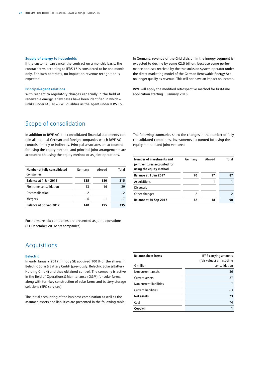#### **Supply of energy to households**

If the customer can cancel the contract on a monthly basis, the contract term according to IFRS 15 is considered to be one month only. For such contracts, no impact on revenue recognition is expected.

#### **Principal-Agent relations**

With respect to regulatory charges especially in the field of renewable energy, a few cases have been identified in which – unlike under IAS 18 – RWE qualifies as the agent under IFRS 15. In Germany, revenue of the Grid division in the innogy segment is expected to decline by some €2.5 billion, because some performance bonuses received by the transmission system operator under the direct marketing model of the German Renewable Energy Act no longer qualify as revenue. This will not have an impact on income.

RWE will apply the modified retrospective method for first-time application starting 1 January 2018.

## Scope of consolidation

In addition to RWE AG, the consolidated financial statements contain all material German and foreign companies which RWE AG controls directly or indirectly. Principal associates are accounted for using the equity method, and principal joint arrangements are accounted for using the equity method or as joint operations.

| Number of fully consolidated<br>companies | Germany | Abroad | Total |
|-------------------------------------------|---------|--------|-------|
| Balance at 1 Jan 2017                     | 135     | 180    | 315   |
| First-time consolidation                  | 13      | 16     | 29    |
| Deconsolidation                           | $-2$    |        | $-2$  |
| <b>Mergers</b>                            | -6      | $-1$   | $-7$  |
| Balance at 30 Sep 2017                    | 140     | 195    | 335   |

Furthermore, six companies are presented as joint operations (31 December 2016: six companies).

## Acquisitions

#### **Belectric**

In early January 2017, innogy SE acquired 100 % of the shares in Belectric Solar&Battery GmbH (previously: Belectric Solar& Battery Holding GmbH) and thus obtained control. The company is active in the field of Operations&Maintenance (O&M) for solar farms, along with turn-key construction of solar farms and battery storage solutions (EPC services).

The initial accounting of the business combination as well as the assumed assets and liabilities are presented in the following table: The following summaries show the changes in the number of fully consolidated companies, investments accounted for using the equity method and joint ventures:

| Number of investments and<br>joint ventures accounted for<br>using the equity method | Germany | Abroad | Total |
|--------------------------------------------------------------------------------------|---------|--------|-------|
| Balance at 1 Jan 2017                                                                | 70      | 17     | 87    |
| Acquisitions                                                                         |         | 1      |       |
| <b>Disposals</b>                                                                     |         |        |       |
| Other changes                                                                        | 2       |        |       |
| Balance at 30 Sep 2017                                                               | 72      | 18     | 90    |

| <b>IFRS carrying amounts</b><br>(fair values) at first-time |
|-------------------------------------------------------------|
| consolidation                                               |
| 56                                                          |
| 87                                                          |
|                                                             |
| 63                                                          |
| 73                                                          |
| 74                                                          |
|                                                             |
|                                                             |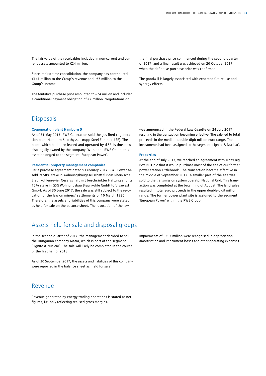The fair value of the receivables included in non-current and current assets amounted to €24 million.

Since its first-time consolidation, the company has contributed €147 million to the Group's revenue and –€7 million to the Group's income.

The tentative purchase price amounted to €74 million and included a conditional payment obligation of €7 million. Negotiations on

**Disposals** 

#### **Cogeneration plant Hamborn 5**

As of 31 May 2017, RWE Generation sold the gas-fired cogeneration plant Hamborn 5 to thyssenkrupp Steel Europe (tkSE). The plant, which had been leased and operated by tkSE, is thus now also legally owned by the company. Within the RWE Group, this asset belonged to the segment 'European Power'.

#### **Residential property management companies**

Per a purchase agreement dated 9 February 2017, RWE Power AG sold its 50% stake in Wohnungsbaugesellschaft für das Rheinische Braunkohlenrevier Gesellschaft mit beschränkter Haftung and its 15% stake in GSG Wohnungsbau Braunkohle GmbH to Vivawest GmbH. As of 30 June 2017, the sale was still subject to the revocation of the law on miners' settlements of 10 March 1930. Therefore, the assets and liabilities of this company were stated as held for sale on the balance sheet. The revocation of the law

## Assets held for sale and disposal groups

In the second quarter of 2017, the management decided to sell the Hungarian company Mátra, which is part of the segment 'Lignite & Nuclear'. The sale will likely be completed in the course of the first half of 2018.

As of 30 September 2017, the assets and liabilities of this company were reported in the balance sheet as 'held for sale'.

### Revenue

Revenue generated by energy trading operations is stated as net figures, i.e. only reflecting realised gross margins.

the final purchase price commenced during the second quarter of 2017, and a final result was achieved on 20 October 2017 when the definitive purchase price was confirmed.

The goodwill is largely associated with expected future use and synergy effects.

was announced in the Federal Law Gazette on 24 July 2017, resulting in the transaction becoming effective. The sale led to total proceeds in the medium double-digit million euro range. The investments had been assigned to the segment 'Lignite & Nuclear'.

#### **Properties**

At the end of July 2017, we reached an agreement with Tritax Big Box REIT plc that it would purchase most of the site of our former power station Littlebrook. The transaction became effective in the middle of September 2017. A smaller part of the site was sold to the transmission system operator National Grid. This transaction was completed at the beginning of August. The land sales resulted in total euro proceeds in the upper double-digit million range. The former power plant site is assigned to the segment 'European Power' within the RWE Group.

Impairments of €303 million were recognised in depreciation, amortisation and impairment losses and other operating expenses.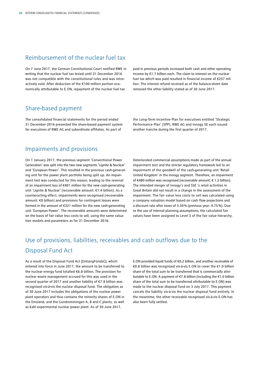## Reimbursement of the nuclear fuel tax

On 7 June 2017, the German Constitutional Court notified RWE in writing that the nuclear fuel tax levied until 31 December 2016 was not compatible with the constitutional rules and was retroactively void. After deduction of the €100 million portion economically attributable to E.ON, repayment of the nuclear fuel tax

paid in previous periods increased both cash and other operating income by €1.7 billion each. The claim to interest on the nuclear fuel tax which was paid resulted in financial income of €257 million. The interest refund received as of the balance-sheet date removed the other liability stated as of 30 June 2017.

## Share-based payment

The consolidated financial statements for the period ended 31 December 2016 presented the share-based payment system for executives of RWE AG and subordinate affiliates. As part of

the Long-Term Incentive Plan for executives entitled 'Strategic Performance Plan' (SPP), RWE AG and innogy SE each issued another tranche during the first quarter of 2017.

## Impairments and provisions

On 1 January 2017, the previous segment 'Conventional Power Generation' was split into the two new segments 'Lignite & Nuclear' and 'European Power'. This resulted in the previous cash-generating unit for the power plant portfolio being split up. An impairment test was conducted for this reason, leading to the reversal of an impairment loss of €401 million for the new cash-generating unit 'Lignite & Nuclear' (recoverable amount: €1.4 billion). As a counteracting effect, impairments were recognised (recoverable amount: €0 billion) and provisions for contingent losses were formed in the amount of €321 million for the new cash-generating unit 'European Power'. The recoverable amounts were determined on the basis of fair value less costs to sell, using the same valuation models and parameters as for 31 December 2016.

Deteriorated commercial assumptions made as part of the annual impairment test and the stricter regulatory framework led to an impairment of the goodwill of the cash-generating unit 'Retail United Kingdom' in the innogy segment. Therefore, an impairment of €480 million was recognised (recoverable amount: € 1.5 billion). The intended merger of innogy's and SSE 's retail activities in Great Britain did not result in a change in the assessment of the impairment. The fair value less costs to sell was calculated using a company valuation model based on cash flow projections and a discount rate after taxes of 5.50% (previous year: 4.75%). Due to the use of internal planning assumptions, the calculated fair values have been assigned to Level 3 of the fair value hierarchy.

## Use of provisions, liabilities, receivables and cash outflows due to the Disposal Fund Act

As a result of the Disposal Fund Act (EntsorgFondsG), which entered into force in June 2017, the amount to be transferred to the nuclear energy fund totalled €6.8 billion. The provision for nuclear waste management accrued for this was used in the second quarter of 2017 and another liability of €7.8 billion was recognised vis-à-vis the nuclear disposal fund. The obligation as of 30 June 2017 includes the obligations of the nuclear power plant operators and thus contains the minority shares of E.ON in the Emsland, and the Gundremmingen A, B and C plants, as well as Kahl experimental nuclear power plant. As of 30 June 2017,

E.ON provided liquid funds of €0.2 billion, and another receivable of €0.8 billion was recognised vis-à-vis E.ON to cover the €1.0 billion share of the total sum to be transferred that is commercially attributable to E.ON. A payment of €7.8 billion (including the €1.0 billion share of the total sum to be transferred attributable to E.ON) was made to the nuclear disposal fund on 3 July 2017. This payment cancels the liability vis-à-vis the nuclear disposal fund entirely. In the meantime, the other receivable recognised vis-à-vis E.ON has also been fully settled.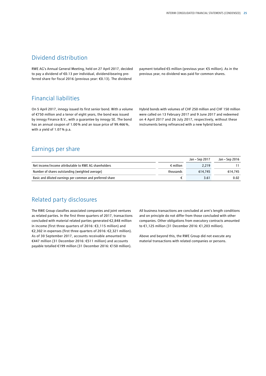## Dividend distribution

RWE AG's Annual General Meeting, held on 27 April 2017, decided to pay a dividend of €0.13 per individual, dividend-bearing preferred share for fiscal 2016 (previous year: €0.13). The dividend

payment totalled €5 million (previous year: €5 million). As in the previous year, no dividend was paid for common shares.

## Financial liabilities

On 5 April 2017, innogy issued its first senior bond. With a volume of €750 million and a tenor of eight years, the bond was issued by innogy Finance B.V., with a guarantee by innogy SE. The bond has an annual coupon of 1.00% and an issue price of 99.466%, with a yield of 1.07% p.a.

Hybrid bonds with volumes of CHF 250 million and CHF 150 million were called on 13 February 2017 and 9 June 2017 and redeemed on 4 April 2017 and 26 July 2017, respectively, without these instruments being refinanced with a new hybrid bond.

## Earnings per share

|                                                           |                    | Jan – Sep 2017 | Jan – Sep 2016 |
|-----------------------------------------------------------|--------------------|----------------|----------------|
| Net income/income attributable to RWE AG shareholders     | $\epsilon$ million | 2.219          |                |
| Number of shares outstanding (weighted average)           | thousands          | 614.745        | 614.745        |
| Basic and diluted earnings per common and preferred share |                    | 3.61           | 0.02           |

## Related party disclosures

The RWE Group classifies associated companies and joint ventures as related parties. In the first three quarters of 2017, transactions concluded with material related parties generated €2,848 million in income (first three quarters of 2016: €3,115 million) and €2,302 in expenses (first three quarters of 2016: €2,321 million). As of 30 September 2017, accounts receivable amounted to €447 million (31 December 2016: €511 million) and accounts payable totalled €199 million (31 December 2016: €150 million).

All business transactions are concluded at arm's length conditions and on principle do not differ from those concluded with other companies. Other obligations from executory contracts amounted to €1,125 million (31 December 2016: €1,203 million).

Above and beyond this, the RWE Group did not execute any material transactions with related companies or persons.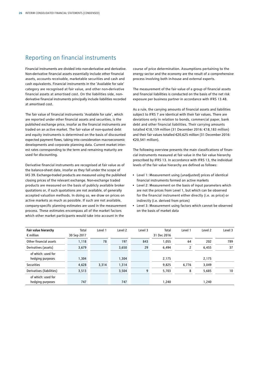## Reporting on financial instruments

Financial instruments are divided into non-derivative and derivative. Non-derivative financial assets essentially include other financial assets, accounts receivable, marketable securities and cash and cash equivalents. Financial instruments in the 'Available for sale' category are recognised at fair value, and other non-derivative financial assets at amortised cost. On the liabilities side, nonderivative financial instruments principally include liabilities recorded at amortised cost.

The fair value of financial instruments 'Available for sale', which are reported under other financial assets and securities, is the published exchange price, insofar as the financial instruments are traded on an active market. The fair value of non-quoted debt and equity instruments is determined on the basis of discounted expected payment flows, taking into consideration macroeconomic developments and corporate planning data. Current market interest rates corresponding to the term and remaining maturity are used for discounting.

Derivative financial instruments are recognised at fair value as of the balance-sheet date, insofar as they fall under the scope of IAS 39. Exchange-traded products are measured using the published closing prices of the relevant exchange. Non-exchange traded products are measured on the basis of publicly available broker quotations or, if such quotations are not available, of generally accepted valuation methods. In doing so, we draw on prices on active markets as much as possible. If such are not available, company-specific planning estimates are used in the measurement process. These estimates encompass all of the market factors which other market participants would take into account in the

course of price determination. Assumptions pertaining to the energy sector and the economy are the result of a comprehensive process involving both in-house and external experts.

The measurement of the fair value of a group of financial assets and financial liabilities is conducted on the basis of the net risk exposure per business partner in accordance with IFRS 13.48.

As a rule, the carrying amounts of financial assets and liabilities subject to IFRS 7 are identical with their fair values. There are deviations only in relation to bonds, commercial paper, bank debt and other financial liabilities. Their carrying amounts totalled €18,159 million (31 December 2016: €18,183 million) and their fair values totalled €20,625 million (31 December 2016: €20,541 million).

The following overview presents the main classifications of financial instruments measured at fair value in the fair value hierarchy prescribed by IFRS 13. In accordance with IFRS 13, the individual levels of the fair value hierarchy are defined as follows:

- Level 1: Measurement using (unadjusted) prices of identical financial instruments formed on active markets
- Level 2: Measurement on the basis of input parameters which are not the prices from Level 1, but which can be observed for the financial instrument either directly (i.e. as price) or indirectly (i.e. derived from prices)
- Level 3: Measurement using factors which cannot be observed on the basis of market data

| Fair value hierarchy      | Total       | Level 1 | Level <sub>2</sub> | Level 3 | Total       | Level 1 | Level 2 | Level 3 |
|---------------------------|-------------|---------|--------------------|---------|-------------|---------|---------|---------|
| $\epsilon$ million        | 30 Sep 2017 |         |                    |         | 31 Dec 2016 |         |         |         |
| Other financial assets    | 1,118       | 78      | 197                | 843     | 1,055       | 64      | 202     | 789     |
| Derivatives (assets)      | 3,679       |         | 3,650              | 29      | 6,494       | 2       | 6,455   | 37      |
| of which: used for        |             |         |                    |         |             |         |         |         |
| hedging purposes          | 1,304       |         | 1.304              |         | 2,175       |         | 2,175   |         |
| <b>Securities</b>         | 4,628       | 3,314   | 1,314              |         | 9,825       | 6,776   | 3,049   |         |
| Derivatives (liabilities) | 3,513       |         | 3,504              | 9       | 5,703       | 8       | 5,685   | 10      |
| of which: used for        |             |         |                    |         |             |         |         |         |
| hedging purposes          | 747         |         | 747                |         | 1,240       |         | 1,240   |         |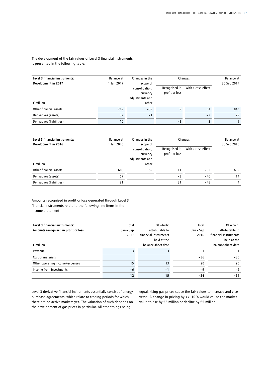The development of the fair values of Level 3 financial instruments is presented in the following table:

| Level 3 financial instruments:<br>Development in 2017 | Changes in the<br>Balance at<br>1 Jan 2017<br>scope of |                                               | Changes                         | Balance at<br>30 Sep 2017 |     |
|-------------------------------------------------------|--------------------------------------------------------|-----------------------------------------------|---------------------------------|---------------------------|-----|
|                                                       |                                                        | consolidation,<br>currency<br>adjustments and | Recognised in<br>profit or loss | With a cash effect        |     |
| $\epsilon$ million                                    |                                                        | other                                         |                                 |                           |     |
| Other financial assets                                | 789                                                    | $-39$                                         | q                               | 84                        | 843 |
| Derivatives (assets)                                  | 37                                                     | $-1$                                          |                                 | $-7$                      | 29  |
| Derivatives (liabilities)                             | 10                                                     |                                               | $-3$                            | 2                         | 9   |

| Level 3 financial instruments: | Balance at | Changes in the                                            |                                 | Changes            | Balance at  |
|--------------------------------|------------|-----------------------------------------------------------|---------------------------------|--------------------|-------------|
| Development in 2016            | 1 Jan 2016 | scope of<br>consolidation,<br>currency<br>adjustments and | Recognised in<br>profit or loss | With a cash effect | 30 Sep 2016 |
| $\epsilon$ million             |            | other                                                     |                                 |                    |             |
| Other financial assets         | 608        | 52                                                        | 11                              | $-32$              | 639         |
| Derivatives (assets)           | 57         |                                                           | $-3$                            | $-40$              | 14          |
| Derivatives (liabilities)      | 21         |                                                           | 31                              | -48                | 4           |

Amounts recognised in profit or loss generated through Level 3 financial instruments relate to the following line items in the income statement:

| Level 3 financial instruments:       | Total     | Of which:                            | Total     | Of which:                            |
|--------------------------------------|-----------|--------------------------------------|-----------|--------------------------------------|
| Amounts recognised in profit or loss | Jan – Sep | attributable to                      | Jan – Sep | attributable to                      |
|                                      | 2017      | financial instruments<br>held at the | 2016      | financial instruments<br>held at the |
| $\epsilon$ million                   |           | balance-sheet date                   |           | balance-sheet date                   |
| Revenue                              |           |                                      |           |                                      |
| Cost of materials                    |           |                                      | $-36$     | $-36$                                |
| Other operating income/expenses      | 15        | 13                                   | 20        | 20                                   |
| Income from investments              | -6        | Ξ.                                   | $-9$      | $-9$                                 |
|                                      | 12        | 15                                   | $-24$     | $-24$                                |

Level 3 derivative financial instruments essentially consist of energy purchase agreements, which relate to trading periods for which there are no active markets yet. The valuation of such depends on the development of gas prices in particular. All other things being

equal, rising gas prices cause the fair values to increase and viceversa. A change in pricing by + /−10% would cause the market value to rise by €5 million or decline by €5 million.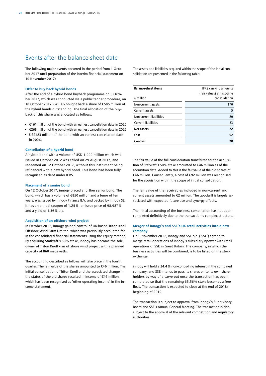## Events after the balance-sheet date

The following major events occurred in the period from 1 October 2017 until preparation of the interim financial statement on 10 November 2017:

#### **Offer to buy back hybrid bonds**

After the end of a hybrid bond buyback programme on 5 October 2017, which was conducted via a public tender procedure, on 10 October 2017 RWE AG bought back a share of €585 million of the hybrid bonds outstanding. The final allocation of the buyback of this share was allocated as follows:

- €161 million of the bond with an earliest cancellation date in 2020
- €268 million of the bond with an earliest cancellation date in 2025 • US\$183 million of the bond with an earliest cancellation date
- in 2026.

#### **Cancellation of a hybrid bond**

A hybrid bond with a volume of USD 1,000 million which was issued in October 2012 was called on 29 August 2017, and redeemed on 12 October 2017, without this instrument being refinanced with a new hybrid bond. This bond had been fully recognised as debt under IFRS.

#### **Placement of a senior bond**

On 12 October 2017, innogy placed a further senior bond. The bond, which has a volume of €850 million and a tenor of ten years, was issued by innogy Finance B.V. and backed by innogy SE. It has an annual coupon of 1.25%, an issue price of 98.987% and a yield of 1.36% p.a.

#### **Acquisition of an offshore wind project**

In October 2017, innogy gained control of UK-based Triton Knoll Offshore Wind Farm Limited, which was previously accounted for in the consolidated financial statements using the equity method. By acquiring Statkraft's 50% stake, innogy has become the sole owner of Triton Knoll – an offshore wind project with a planned capacity of 860 megawatts.

The accounting described as follows will take place in the fourth quarter. The fair value of the shares amounted to €46 million. The initial consolidation of Triton Knoll and the associated change in the status of the old shares resulted in income of €46 million, which has been recognised as 'other operating income' in the income statement.

The assets and liabilities acquired within the scope of the initial consolidation are presented in the following table:

| <b>Balance-sheet items</b> | IFRS carrying amounts       |
|----------------------------|-----------------------------|
|                            | (fair values) at first-time |
| $\epsilon$ million         | consolidation               |
| Non-current assets         | 170                         |
| Current assets             | 5                           |
| Non-current liabilities    | 20                          |
| <b>Current liabilities</b> | 83                          |
| <b>Net assets</b>          | 72                          |
| Cost                       | 92                          |
| Goodwill                   | 20                          |

The fair value of the full consideration transferred for the acquisition of Statkraft's 50% stake amounted to €46 million as of the acquisition date. Added to this is the fair value of the old shares of €46 million. Consequently, a cost of €92 million was recognised for the acquisition within the scope of initial consolidation.

The fair value of the receivables included in non-current and current assets amounted to €2 million. The goodwill is largely associated with expected future use and synergy effects.

The initial accounting of the business combination has not been completed definitively due to the transaction's complex structure.

#### **Merger of innogy's and SSE's UK retail activities into a new company**

On 8 November 2017, innogy and SSE plc. ('SSE') agreed to merge retail operations of innogy's subsidiary npower with retail operations of SSE in Great Britain. The company, in which the business activities will be combined, is to be listed on the stock exchange.

innogy will hold a 34.4% non-controlling interest in the combined company, and SSE intends to pass its shares on to its own shareholders by way of a carve-out once the transaction has been completed so that the remaining 65.56 % stake becomes a free float. The transaction is expected to close at the end of 2018/ beginning of 2019.

The transaction is subject to approval from innogy's Supervisory Board and SSE's Annual General Meeting. The transaction is also subject to the approval of the relevant competition and regulatory authorities.